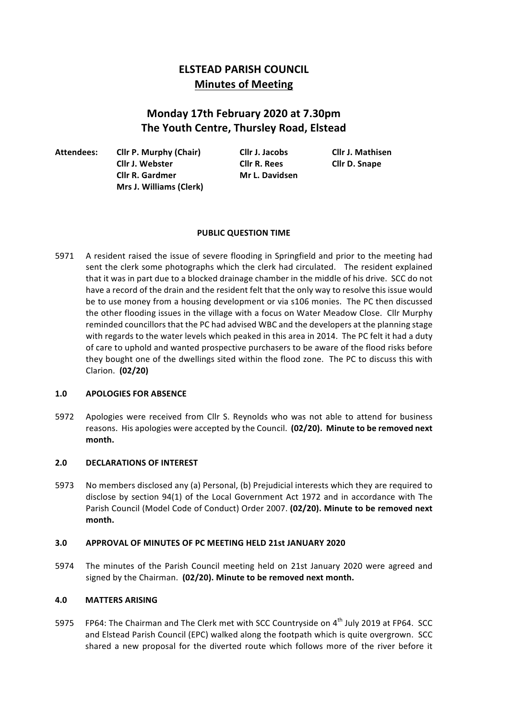# **ELSTEAD PARISH COUNCIL Minutes of Meeting**

# **Monday 17th February 2020 at 7.30pm The Youth Centre, Thursley Road, Elstead**

**Attendees: Cllr P. Murphy (Chair) Cllr J. Jacobs Cllr J. Mathisen Cllr J. Webster Cllr R. Rees Cllr D. Snape Cllr R. Gardmer Mr L. Davidsen Mrs J. Williams (Clerk)**

# **PUBLIC OUESTION TIME**

5971 A resident raised the issue of severe flooding in Springfield and prior to the meeting had sent the clerk some photographs which the clerk had circulated. The resident explained that it was in part due to a blocked drainage chamber in the middle of his drive. SCC do not have a record of the drain and the resident felt that the only way to resolve this issue would be to use money from a housing development or via s106 monies. The PC then discussed the other flooding issues in the village with a focus on Water Meadow Close. Cllr Murphy reminded councillors that the PC had advised WBC and the developers at the planning stage with regards to the water levels which peaked in this area in 2014. The PC felt it had a duty of care to uphold and wanted prospective purchasers to be aware of the flood risks before they bought one of the dwellings sited within the flood zone. The PC to discuss this with Clarion. **(02/20)**

# 1.0 **APOLOGIES FOR ABSENCE**

5972 Apologies were received from Cllr S. Reynolds who was not able to attend for business reasons. His apologies were accepted by the Council. (02/20). Minute to be removed next **month.**

# **2.0 DECLARATIONS OF INTEREST**

5973 No members disclosed any (a) Personal, (b) Prejudicial interests which they are required to disclose by section 94(1) of the Local Government Act 1972 and in accordance with The Parish Council (Model Code of Conduct) Order 2007. (02/20). Minute to be removed next **month.**

# **3.0 APPROVAL OF MINUTES OF PC MEETING HELD 21st JANUARY 2020**

5974 The minutes of the Parish Council meeting held on 21st January 2020 were agreed and signed by the Chairman. (02/20). Minute to be removed next month.

# **4.0 MATTERS ARISING**

5975 FP64: The Chairman and The Clerk met with SCC Countryside on 4<sup>th</sup> July 2019 at FP64. SCC and Elstead Parish Council (EPC) walked along the footpath which is quite overgrown. SCC shared a new proposal for the diverted route which follows more of the river before it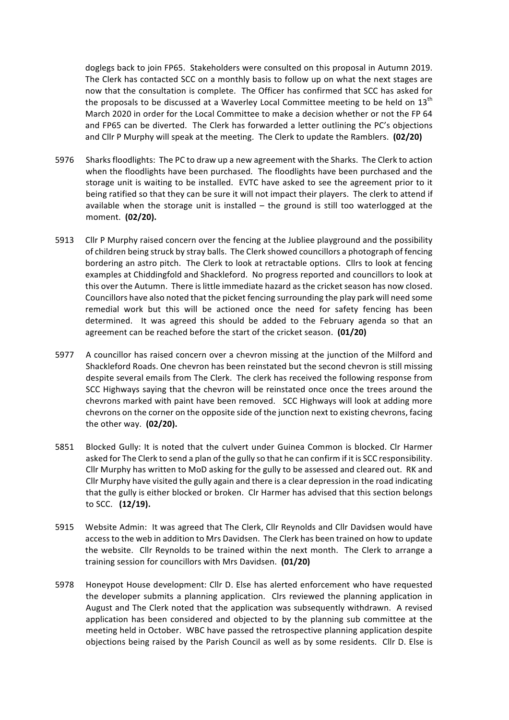doglegs back to join FP65. Stakeholders were consulted on this proposal in Autumn 2019. The Clerk has contacted SCC on a monthly basis to follow up on what the next stages are now that the consultation is complete. The Officer has confirmed that SCC has asked for the proposals to be discussed at a Waverley Local Committee meeting to be held on  $13^{\text{th}}$ March 2020 in order for the Local Committee to make a decision whether or not the FP 64 and FP65 can be diverted. The Clerk has forwarded a letter outlining the PC's objections and Cllr P Murphy will speak at the meeting. The Clerk to update the Ramblers. (02/20)

- 5976 Sharks floodlights: The PC to draw up a new agreement with the Sharks. The Clerk to action when the floodlights have been purchased. The floodlights have been purchased and the storage unit is waiting to be installed. EVTC have asked to see the agreement prior to it being ratified so that they can be sure it will not impact their players. The clerk to attend if available when the storage unit is installed  $-$  the ground is still too waterlogged at the moment. (02/20).
- 5913 Cllr P Murphy raised concern over the fencing at the Jubliee playground and the possibility of children being struck by stray balls. The Clerk showed councillors a photograph of fencing bordering an astro pitch. The Clerk to look at retractable options. Cllrs to look at fencing examples at Chiddingfold and Shackleford. No progress reported and councillors to look at this over the Autumn. There is little immediate hazard as the cricket season has now closed. Councillors have also noted that the picket fencing surrounding the play park will need some remedial work but this will be actioned once the need for safety fencing has been determined. It was agreed this should be added to the February agenda so that an agreement can be reached before the start of the cricket season. (01/20)
- 5977 A councillor has raised concern over a chevron missing at the junction of the Milford and Shackleford Roads. One chevron has been reinstated but the second chevron is still missing despite several emails from The Clerk. The clerk has received the following response from SCC Highways saying that the chevron will be reinstated once once the trees around the chevrons marked with paint have been removed. SCC Highways will look at adding more chevrons on the corner on the opposite side of the junction next to existing chevrons, facing the other way. (02/20).
- 5851 Blocked Gully: It is noted that the culvert under Guinea Common is blocked. Clr Harmer asked for The Clerk to send a plan of the gully so that he can confirm if it is SCC responsibility. Cllr Murphy has written to MoD asking for the gully to be assessed and cleared out. RK and Cllr Murphy have visited the gully again and there is a clear depression in the road indicating that the gully is either blocked or broken. Clr Harmer has advised that this section belongs to SCC. (12/19).
- 5915 Website Admin: It was agreed that The Clerk, Cllr Reynolds and Cllr Davidsen would have access to the web in addition to Mrs Davidsen. The Clerk has been trained on how to update the website. Cllr Reynolds to be trained within the next month. The Clerk to arrange a training session for councillors with Mrs Davidsen. **(01/20)**
- 5978 Honeypot House development: Cllr D. Else has alerted enforcement who have requested the developer submits a planning application. Clrs reviewed the planning application in August and The Clerk noted that the application was subsequently withdrawn. A revised application has been considered and objected to by the planning sub committee at the meeting held in October. WBC have passed the retrospective planning application despite objections being raised by the Parish Council as well as by some residents. Cllr D. Else is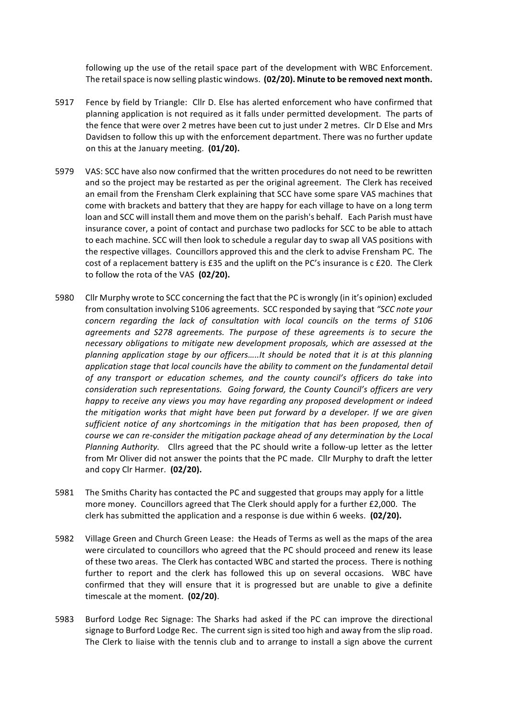following up the use of the retail space part of the development with WBC Enforcement. The retail space is now selling plastic windows. (02/20). Minute to be removed next month.

- 5917 Fence by field by Triangle: Cllr D. Else has alerted enforcement who have confirmed that planning application is not required as it falls under permitted development. The parts of the fence that were over 2 metres have been cut to just under 2 metres. Clr D Else and Mrs Davidsen to follow this up with the enforcement department. There was no further update on this at the January meeting. **(01/20).**
- 5979 VAS: SCC have also now confirmed that the written procedures do not need to be rewritten and so the project may be restarted as per the original agreement. The Clerk has received an email from the Frensham Clerk explaining that SCC have some spare VAS machines that come with brackets and battery that they are happy for each village to have on a long term loan and SCC will install them and move them on the parish's behalf. Each Parish must have insurance cover, a point of contact and purchase two padlocks for SCC to be able to attach to each machine. SCC will then look to schedule a regular day to swap all VAS positions with the respective villages. Councillors approved this and the clerk to advise Frensham PC. The cost of a replacement battery is £35 and the uplift on the PC's insurance is c £20. The Clerk to follow the rota of the VAS (02/20).
- 5980 Cllr Murphy wrote to SCC concerning the fact that the PC is wrongly (in it's opinion) excluded from consultation involving S106 agreements. SCC responded by saying that "SCC note your concern regarding the lack of consultation with local councils on the terms of S106 agreements and S278 agreements. The purpose of these agreements is to secure the necessary obligations to mitigate new development proposals, which are assessed at the *planning application stage by our officers…..It should be noted that it is at this planning application stage that local councils have the ability to comment on the fundamental detail* of any transport or education schemes, and the county council's officers do take into *consideration such representations. Going forward, the County Council's officers are very happy* to receive any views you may have regarding any proposed development or indeed *the mitigation works that might have been put forward by a developer. If we are given* sufficient notice of any shortcomings in the mitigation that has been proposed, then of *course* we can re-consider the mitigation package ahead of any determination by the Local *Planning Authority.* Cllrs agreed that the PC should write a follow-up letter as the letter from Mr Oliver did not answer the points that the PC made. Cllr Murphy to draft the letter and copy Clr Harmer. (02/20).
- 5981 The Smiths Charity has contacted the PC and suggested that groups may apply for a little more money. Councillors agreed that The Clerk should apply for a further  $£2,000$ . The clerk has submitted the application and a response is due within 6 weeks. **(02/20).**
- 5982 Village Green and Church Green Lease: the Heads of Terms as well as the maps of the area were circulated to councillors who agreed that the PC should proceed and renew its lease of these two areas. The Clerk has contacted WBC and started the process. There is nothing further to report and the clerk has followed this up on several occasions. WBC have confirmed that they will ensure that it is progressed but are unable to give a definite timescale at the moment. **(02/20)**.
- 5983 Burford Lodge Rec Signage: The Sharks had asked if the PC can improve the directional signage to Burford Lodge Rec. The current sign is sited too high and away from the slip road. The Clerk to liaise with the tennis club and to arrange to install a sign above the current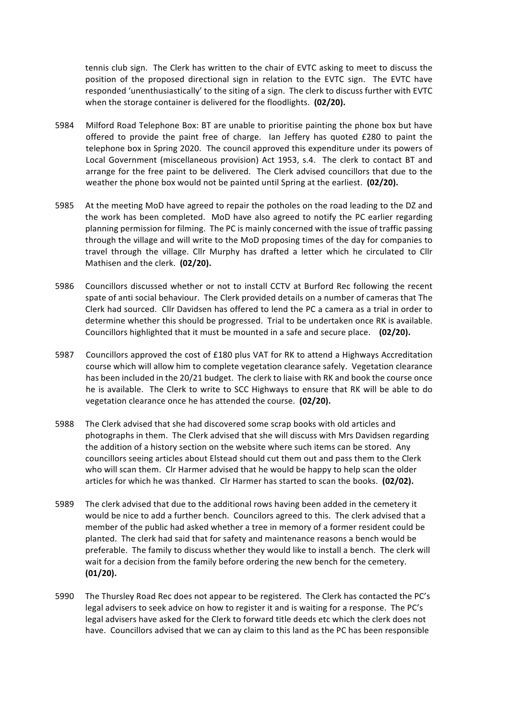tennis club sign. The Clerk has written to the chair of EVTC asking to meet to discuss the position of the proposed directional sign in relation to the EVTC sign. The EVTC have responded 'unenthusiastically' to the siting of a sign. The clerk to discuss further with EVTC when the storage container is delivered for the floodlights. (02/20).

- 5984 Milford Road Telephone Box: BT are unable to prioritise painting the phone box but have offered to provide the paint free of charge. Ian Jeffery has quoted £280 to paint the telephone box in Spring 2020. The council approved this expenditure under its powers of Local Government (miscellaneous provision) Act 1953, s.4. The clerk to contact BT and arrange for the free paint to be delivered. The Clerk advised councillors that due to the weather the phone box would not be painted until Spring at the earliest. (02/20).
- 5985 At the meeting MoD have agreed to repair the potholes on the road leading to the DZ and the work has been completed. MoD have also agreed to notify the PC earlier regarding planning permission for filming. The PC is mainly concerned with the issue of traffic passing through the village and will write to the MoD proposing times of the day for companies to travel through the village. Cllr Murphy has drafted a letter which he circulated to Cllr Mathisen and the clerk. **(02/20).**
- 5986 Councillors discussed whether or not to install CCTV at Burford Rec following the recent spate of anti social behaviour. The Clerk provided details on a number of cameras that The Clerk had sourced. Cllr Davidsen has offered to lend the PC a camera as a trial in order to determine whether this should be progressed. Trial to be undertaken once RK is available. Councillors highlighted that it must be mounted in a safe and secure place. (02/20).
- 5987 Councillors approved the cost of £180 plus VAT for RK to attend a Highways Accreditation course which will allow him to complete vegetation clearance safely. Vegetation clearance has been included in the 20/21 budget. The clerk to liaise with RK and book the course once he is available. The Clerk to write to SCC Highways to ensure that RK will be able to do vegetation clearance once he has attended the course. **(02/20).**
- 5988 The Clerk advised that she had discovered some scrap books with old articles and photographs in them. The Clerk advised that she will discuss with Mrs Davidsen regarding the addition of a history section on the website where such items can be stored. Any councillors seeing articles about Elstead should cut them out and pass them to the Clerk who will scan them. CIr Harmer advised that he would be happy to help scan the older articles for which he was thanked. Clr Harmer has started to scan the books. (02/02).
- 5989 The clerk advised that due to the additional rows having been added in the cemetery it would be nice to add a further bench. Councilors agreed to this. The clerk advised that a member of the public had asked whether a tree in memory of a former resident could be planted. The clerk had said that for safety and maintenance reasons a bench would be preferable. The family to discuss whether they would like to install a bench. The clerk will wait for a decision from the family before ordering the new bench for the cemetery. **(01/20).**
- 5990 The Thursley Road Rec does not appear to be registered. The Clerk has contacted the PC's legal advisers to seek advice on how to register it and is waiting for a response. The PC's legal advisers have asked for the Clerk to forward title deeds etc which the clerk does not have. Councillors advised that we can ay claim to this land as the PC has been responsible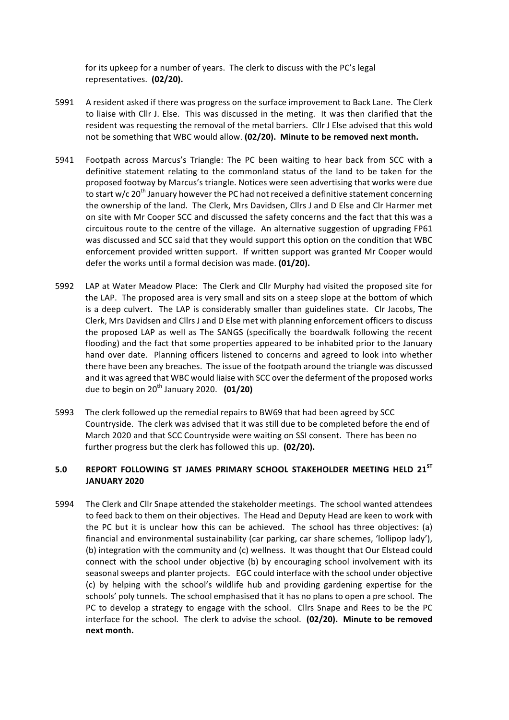for its upkeep for a number of years. The clerk to discuss with the PC's legal representatives. (02/20).

- 5991 A resident asked if there was progress on the surface improvement to Back Lane. The Clerk to liaise with Cllr J. Else. This was discussed in the meting. It was then clarified that the resident was requesting the removal of the metal barriers. Cllr J Else advised that this wold not be something that WBC would allow. (02/20). Minute to be removed next month.
- 5941 Footpath across Marcus's Triangle: The PC been waiting to hear back from SCC with a definitive statement relating to the commonland status of the land to be taken for the proposed footway by Marcus's triangle. Notices were seen advertising that works were due to start w/c 20<sup>th</sup> January however the PC had not received a definitive statement concerning the ownership of the land. The Clerk, Mrs Davidsen, Cllrs J and D Else and Clr Harmer met on site with Mr Cooper SCC and discussed the safety concerns and the fact that this was a circuitous route to the centre of the village. An alternative suggestion of upgrading FP61 was discussed and SCC said that they would support this option on the condition that WBC enforcement provided written support. If written support was granted Mr Cooper would defer the works until a formal decision was made. (01/20).
- 5992 LAP at Water Meadow Place: The Clerk and Cllr Murphy had visited the proposed site for the LAP. The proposed area is very small and sits on a steep slope at the bottom of which is a deep culvert. The LAP is considerably smaller than guidelines state. Clr Jacobs, The Clerk, Mrs Davidsen and Cllrs J and D Else met with planning enforcement officers to discuss the proposed LAP as well as The SANGS (specifically the boardwalk following the recent flooding) and the fact that some properties appeared to be inhabited prior to the January hand over date. Planning officers listened to concerns and agreed to look into whether there have been any breaches. The issue of the footpath around the triangle was discussed and it was agreed that WBC would liaise with SCC over the deferment of the proposed works due to begin on  $20^{th}$  January 2020. **(01/20)**
- 5993 The clerk followed up the remedial repairs to BW69 that had been agreed by SCC Countryside. The clerk was advised that it was still due to be completed before the end of March 2020 and that SCC Countryside were waiting on SSI consent. There has been no further progress but the clerk has followed this up. (02/20).

# 5.0 **REPORT FOLLOWING ST JAMES PRIMARY SCHOOL STAKEHOLDER MEETING HELD 21<sup>ST</sup> JANUARY 2020**

5994 The Clerk and Cllr Snape attended the stakeholder meetings. The school wanted attendees to feed back to them on their objectives. The Head and Deputy Head are keen to work with the PC but it is unclear how this can be achieved. The school has three objectives: (a) financial and environmental sustainability (car parking, car share schemes, 'lollipop lady'), (b) integration with the community and (c) wellness. It was thought that Our Elstead could connect with the school under objective (b) by encouraging school involvement with its seasonal sweeps and planter projects. EGC could interface with the school under objective (c) by helping with the school's wildlife hub and providing gardening expertise for the schools' poly tunnels. The school emphasised that it has no plans to open a pre school. The PC to develop a strategy to engage with the school. Cllrs Snape and Rees to be the PC interface for the school. The clerk to advise the school. (02/20). Minute to be removed **next month.**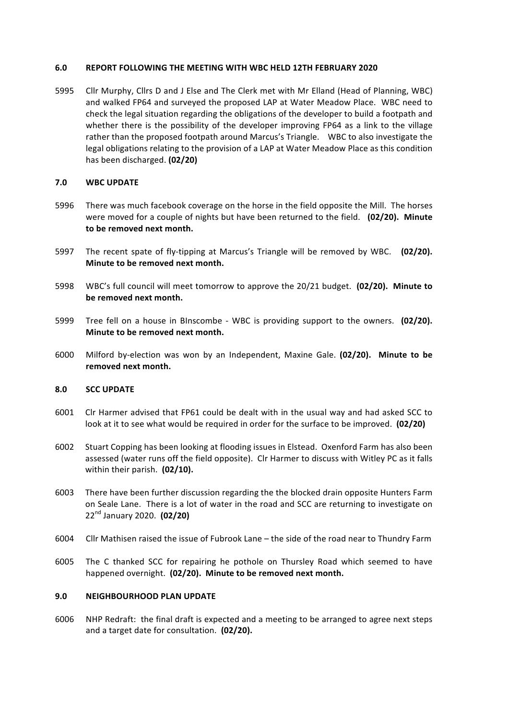## **6.0 REPORT FOLLOWING THE MEETING WITH WBC HELD 12TH FEBRUARY 2020**

5995 Cllr Murphy, Cllrs D and J Else and The Clerk met with Mr Elland (Head of Planning, WBC) and walked FP64 and surveyed the proposed LAP at Water Meadow Place. WBC need to check the legal situation regarding the obligations of the developer to build a footpath and whether there is the possibility of the developer improving FP64 as a link to the village rather than the proposed footpath around Marcus's Triangle. WBC to also investigate the legal obligations relating to the provision of a LAP at Water Meadow Place as this condition has been discharged. **(02/20)**

## **7.0 WBC UPDATE**

- 5996 There was much facebook coverage on the horse in the field opposite the Mill. The horses were moved for a couple of nights but have been returned to the field. (02/20). Minute to be removed next month.
- 5997 The recent spate of fly-tipping at Marcus's Triangle will be removed by WBC. (02/20). **Minute to be removed next month.**
- 5998 WBC's full council will meet tomorrow to approve the 20/21 budget. (02/20). Minute to be removed next month.
- 5999 Tree fell on a house in BInscombe WBC is providing support to the owners. (02/20). **Minute to be removed next month.**
- 6000 Milford by-election was won by an Independent, Maxine Gale. **(02/20). Minute to be** removed next month.

#### **8.0 SCC UPDATE**

- 6001 Clr Harmer advised that FP61 could be dealt with in the usual way and had asked SCC to look at it to see what would be required in order for the surface to be improved. (02/20)
- 6002 Stuart Copping has been looking at flooding issues in Elstead. Oxenford Farm has also been assessed (water runs off the field opposite). CIr Harmer to discuss with Witley PC as it falls within their parish. (02/10).
- 6003 There have been further discussion regarding the the blocked drain opposite Hunters Farm on Seale Lane. There is a lot of water in the road and SCC are returning to investigate on 22nd January 2020. **(02/20)**
- 6004 Cllr Mathisen raised the issue of Fubrook Lane the side of the road near to Thundry Farm
- 6005 The C thanked SCC for repairing he pothole on Thursley Road which seemed to have happened overnight. (02/20). Minute to be removed next month.

#### **9.0 NEIGHBOURHOOD PLAN UPDATE**

6006 NHP Redraft: the final draft is expected and a meeting to be arranged to agree next steps and a target date for consultation. **(02/20).**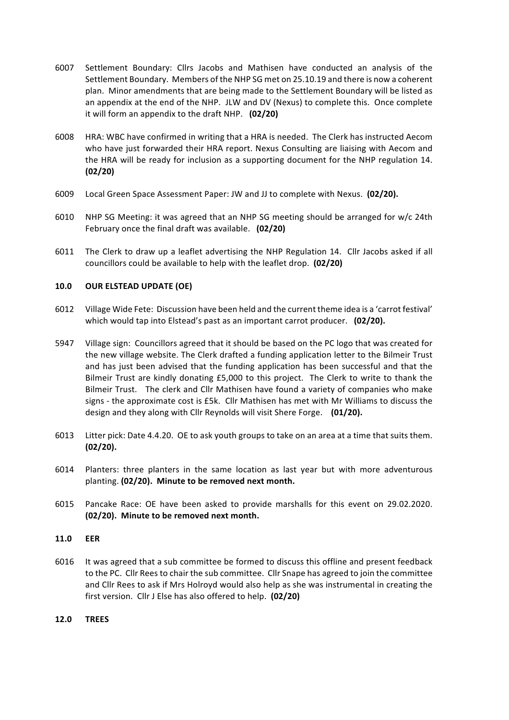- 6007 Settlement Boundary: Cllrs Jacobs and Mathisen have conducted an analysis of the Settlement Boundary. Members of the NHP SG met on 25.10.19 and there is now a coherent plan. Minor amendments that are being made to the Settlement Boundary will be listed as an appendix at the end of the NHP. JLW and DV (Nexus) to complete this. Once complete it will form an appendix to the draft NHP. (02/20)
- 6008 HRA: WBC have confirmed in writing that a HRA is needed. The Clerk has instructed Aecom who have just forwarded their HRA report. Nexus Consulting are liaising with Aecom and the HRA will be ready for inclusion as a supporting document for the NHP regulation 14. **(02/20)**
- 6009 Local Green Space Assessment Paper: JW and JJ to complete with Nexus. (02/20).
- 6010 NHP SG Meeting: it was agreed that an NHP SG meeting should be arranged for w/c 24th February once the final draft was available. (02/20)
- 6011 The Clerk to draw up a leaflet advertising the NHP Regulation 14. Cllr Jacobs asked if all councillors could be available to help with the leaflet drop. (02/20)

# **10.0 OUR ELSTEAD UPDATE (OE)**

- 6012 Village Wide Fete: Discussion have been held and the current theme idea is a 'carrot festival' which would tap into Elstead's past as an important carrot producer. (02/20).
- 5947 Village sign: Councillors agreed that it should be based on the PC logo that was created for the new village website. The Clerk drafted a funding application letter to the Bilmeir Trust and has just been advised that the funding application has been successful and that the Bilmeir Trust are kindly donating £5,000 to this project. The Clerk to write to thank the Bilmeir Trust. The clerk and Cllr Mathisen have found a variety of companies who make signs - the approximate cost is £5k. Cllr Mathisen has met with Mr Williams to discuss the design and they along with Cllr Reynolds will visit Shere Forge. (01/20).
- 6013 Litter pick: Date 4.4.20. OE to ask youth groups to take on an area at a time that suits them. **(02/20).**
- 6014 Planters: three planters in the same location as last year but with more adventurous planting. (02/20). Minute to be removed next month.
- 6015 Pancake Race: OE have been asked to provide marshalls for this event on 29.02.2020. **(02/20). Minute to be removed next month.**
- **11.0 EER**
- 6016 It was agreed that a sub committee be formed to discuss this offline and present feedback to the PC. Cllr Rees to chair the sub committee. Cllr Snape has agreed to join the committee and Cllr Rees to ask if Mrs Holroyd would also help as she was instrumental in creating the first version. Cllr J Else has also offered to help. (02/20)
- **12.0 TREES**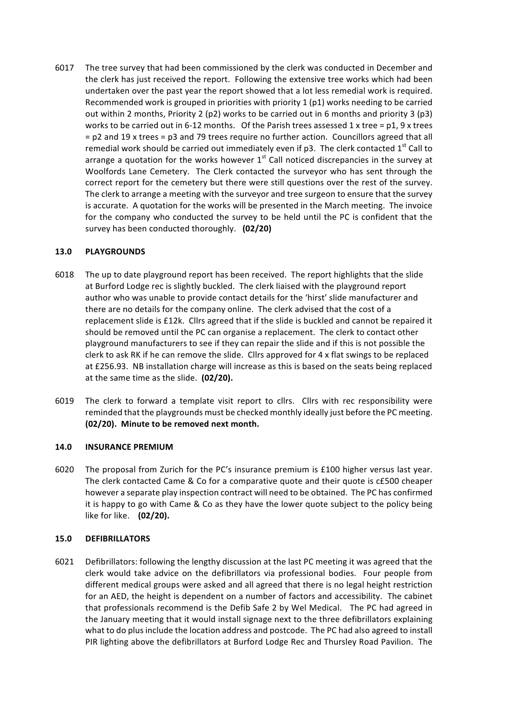6017 The tree survey that had been commissioned by the clerk was conducted in December and the clerk has just received the report. Following the extensive tree works which had been undertaken over the past year the report showed that a lot less remedial work is required. Recommended work is grouped in priorities with priority 1 (p1) works needing to be carried out within 2 months, Priority 2 (p2) works to be carried out in 6 months and priority 3 (p3) works to be carried out in 6-12 months. Of the Parish trees assessed 1 x tree =  $p1$ , 9 x trees  $=$  p2 and 19 x trees  $=$  p3 and 79 trees require no further action. Councillors agreed that all remedial work should be carried out immediately even if p3. The clerk contacted  $1<sup>st</sup>$  Call to arrange a quotation for the works however  $1<sup>st</sup>$  Call noticed discrepancies in the survey at Woolfords Lane Cemetery. The Clerk contacted the surveyor who has sent through the correct report for the cemetery but there were still questions over the rest of the survey. The clerk to arrange a meeting with the surveyor and tree surgeon to ensure that the survey is accurate. A quotation for the works will be presented in the March meeting. The invoice for the company who conducted the survey to be held until the PC is confident that the survey has been conducted thoroughly. **(02/20)** 

# **13.0 PLAYGROUNDS**

- 6018 The up to date playground report has been received. The report highlights that the slide at Burford Lodge rec is slightly buckled. The clerk liaised with the playground report author who was unable to provide contact details for the 'hirst' slide manufacturer and there are no details for the company online. The clerk advised that the cost of a replacement slide is £12k. Cllrs agreed that if the slide is buckled and cannot be repaired it should be removed until the PC can organise a replacement. The clerk to contact other playground manufacturers to see if they can repair the slide and if this is not possible the clerk to ask RK if he can remove the slide. Cllrs approved for  $4 \times$  flat swings to be replaced at £256.93. NB installation charge will increase as this is based on the seats being replaced at the same time as the slide. (02/20).
- 6019 The clerk to forward a template visit report to cllrs. Cllrs with rec responsibility were reminded that the playgrounds must be checked monthly ideally just before the PC meeting. **(02/20). Minute to be removed next month.**

# **14.0 INSURANCE PREMIUM**

6020 The proposal from Zurich for the PC's insurance premium is  $£100$  higher versus last year. The clerk contacted Came & Co for a comparative quote and their quote is c£500 cheaper however a separate play inspection contract will need to be obtained. The PC has confirmed it is happy to go with Came & Co as they have the lower quote subject to the policy being like for like. (02/20).

# **15.0 DEFIBRILLATORS**

6021 Defibrillators: following the lengthy discussion at the last PC meeting it was agreed that the clerk would take advice on the defibrillators via professional bodies. Four people from different medical groups were asked and all agreed that there is no legal height restriction for an AED, the height is dependent on a number of factors and accessibility. The cabinet that professionals recommend is the Defib Safe 2 by Wel Medical. The PC had agreed in the January meeting that it would install signage next to the three defibrillators explaining what to do plus include the location address and postcode. The PC had also agreed to install PIR lighting above the defibrillators at Burford Lodge Rec and Thursley Road Pavilion. The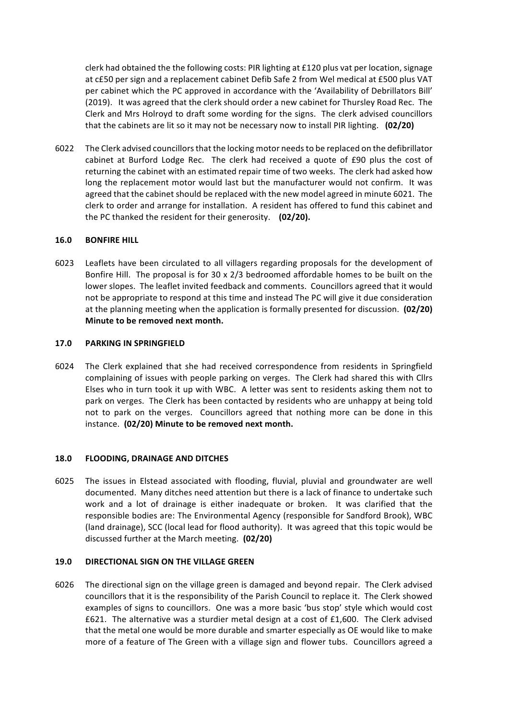clerk had obtained the the following costs: PIR lighting at £120 plus vat per location, signage at c£50 per sign and a replacement cabinet Defib Safe 2 from Wel medical at £500 plus VAT per cabinet which the PC approved in accordance with the 'Availability of Debrillators Bill' (2019). It was agreed that the clerk should order a new cabinet for Thursley Road Rec. The Clerk and Mrs Holroyd to draft some wording for the signs. The clerk advised councillors that the cabinets are lit so it may not be necessary now to install PIR lighting. (02/20)

6022 The Clerk advised councillors that the locking motor needs to be replaced on the defibrillator cabinet at Burford Lodge Rec. The clerk had received a quote of £90 plus the cost of returning the cabinet with an estimated repair time of two weeks. The clerk had asked how long the replacement motor would last but the manufacturer would not confirm. It was agreed that the cabinet should be replaced with the new model agreed in minute 6021. The clerk to order and arrange for installation. A resident has offered to fund this cabinet and the PC thanked the resident for their generosity. (02/20).

### **16.0 BONFIRE HILL**

6023 Leaflets have been circulated to all villagers regarding proposals for the development of Bonfire Hill. The proposal is for 30 x 2/3 bedroomed affordable homes to be built on the lower slopes. The leaflet invited feedback and comments. Councillors agreed that it would not be appropriate to respond at this time and instead The PC will give it due consideration at the planning meeting when the application is formally presented for discussion. (02/20) **Minute to be removed next month.** 

#### **17.0 PARKING IN SPRINGFIELD**

6024 The Clerk explained that she had received correspondence from residents in Springfield complaining of issues with people parking on verges. The Clerk had shared this with Cllrs Elses who in turn took it up with WBC. A letter was sent to residents asking them not to park on verges. The Clerk has been contacted by residents who are unhappy at being told not to park on the verges. Councillors agreed that nothing more can be done in this instance. (02/20) Minute to be removed next month.

# 18.0 **FLOODING, DRAINAGE AND DITCHES**

6025 The issues in Elstead associated with flooding, fluvial, pluvial and groundwater are well documented. Many ditches need attention but there is a lack of finance to undertake such work and a lot of drainage is either inadequate or broken. It was clarified that the responsible bodies are: The Environmental Agency (responsible for Sandford Brook), WBC (land drainage), SCC (local lead for flood authority). It was agreed that this topic would be discussed further at the March meeting. (02/20)

# **19.0 DIRECTIONAL SIGN ON THE VILLAGE GREEN**

6026 The directional sign on the village green is damaged and beyond repair. The Clerk advised councillors that it is the responsibility of the Parish Council to replace it. The Clerk showed examples of signs to councillors. One was a more basic 'bus stop' style which would cost £621. The alternative was a sturdier metal design at a cost of £1,600. The Clerk advised that the metal one would be more durable and smarter especially as OE would like to make more of a feature of The Green with a village sign and flower tubs. Councillors agreed a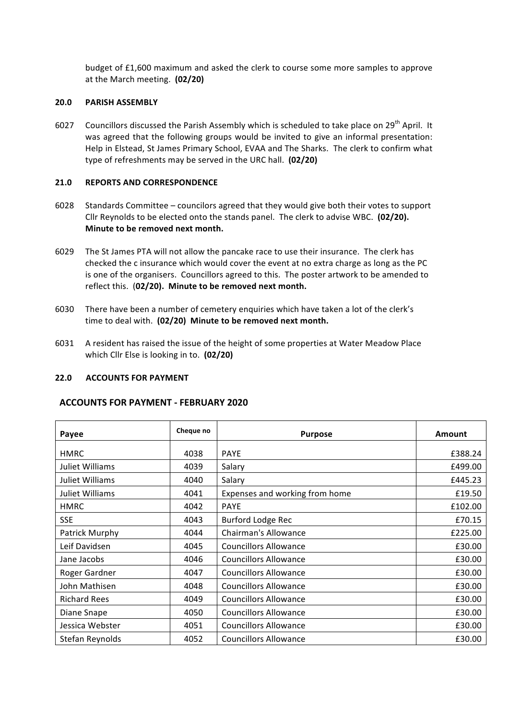budget of £1,600 maximum and asked the clerk to course some more samples to approve at the March meeting. (02/20)

### **20.0 PARISH ASSEMBLY**

6027 Councillors discussed the Parish Assembly which is scheduled to take place on 29<sup>th</sup> April. It was agreed that the following groups would be invited to give an informal presentation: Help in Elstead, St James Primary School, EVAA and The Sharks. The clerk to confirm what type of refreshments may be served in the URC hall. (02/20)

# **21.0 REPORTS AND CORRESPONDENCE**

- 6028 Standards Committee councilors agreed that they would give both their votes to support Cllr Reynolds to be elected onto the stands panel. The clerk to advise WBC. (02/20). **Minute to be removed next month.**
- 6029 The St James PTA will not allow the pancake race to use their insurance. The clerk has checked the c insurance which would cover the event at no extra charge as long as the PC is one of the organisers. Councillors agreed to this. The poster artwork to be amended to reflect this. (02/20). Minute to be removed next month.
- 6030 There have been a number of cemetery enquiries which have taken a lot of the clerk's time to deal with. (02/20) Minute to be removed next month.
- 6031 A resident has raised the issue of the height of some properties at Water Meadow Place which Cllr Else is looking in to. (02/20)

# **22.0 ACCOUNTS FOR PAYMENT**

# **ACCOUNTS FOR PAYMENT - FEBRUARY 2020**

| Payee               | Cheque no | <b>Purpose</b>                 | Amount  |
|---------------------|-----------|--------------------------------|---------|
| <b>HMRC</b>         | 4038      | <b>PAYE</b>                    | £388.24 |
|                     |           |                                |         |
| Juliet Williams     | 4039      | Salary                         | £499.00 |
| Juliet Williams     | 4040      | Salary                         | £445.23 |
| Juliet Williams     | 4041      | Expenses and working from home | £19.50  |
| <b>HMRC</b>         | 4042      | <b>PAYE</b>                    | £102.00 |
| <b>SSE</b>          | 4043      | <b>Burford Lodge Rec</b>       | £70.15  |
| Patrick Murphy      | 4044      | <b>Chairman's Allowance</b>    | £225.00 |
| Leif Davidsen       | 4045      | <b>Councillors Allowance</b>   | £30.00  |
| Jane Jacobs         | 4046      | <b>Councillors Allowance</b>   | £30.00  |
| Roger Gardner       | 4047      | <b>Councillors Allowance</b>   | £30.00  |
| John Mathisen       | 4048      | <b>Councillors Allowance</b>   | £30.00  |
| <b>Richard Rees</b> | 4049      | <b>Councillors Allowance</b>   | £30.00  |
| Diane Snape         | 4050      | <b>Councillors Allowance</b>   | £30.00  |
| Jessica Webster     | 4051      | <b>Councillors Allowance</b>   | £30.00  |
| Stefan Reynolds     | 4052      | <b>Councillors Allowance</b>   | £30.00  |